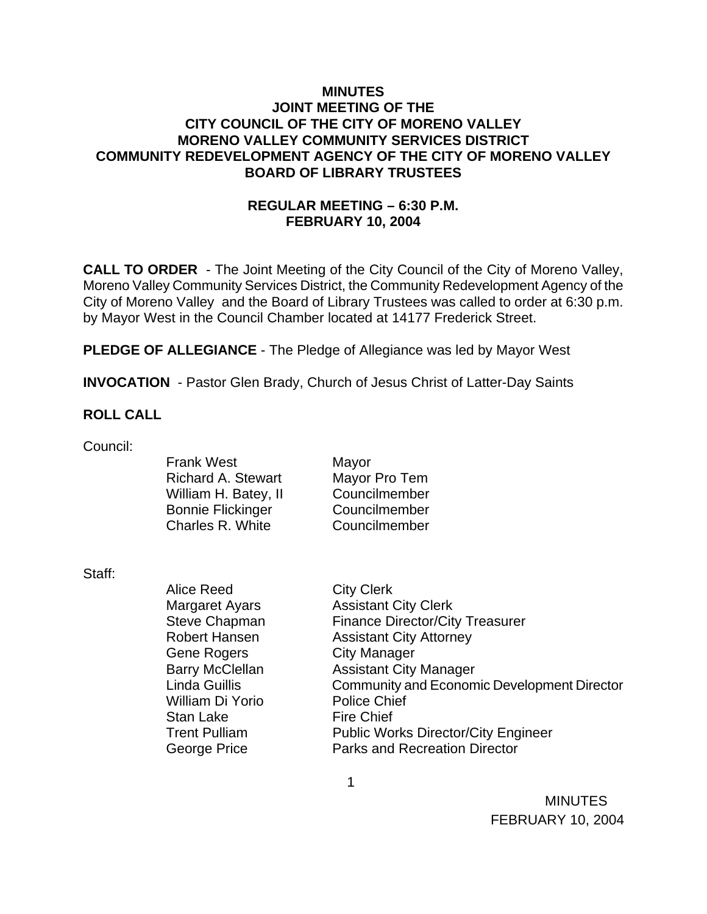### **MINUTES JOINT MEETING OF THE CITY COUNCIL OF THE CITY OF MORENO VALLEY MORENO VALLEY COMMUNITY SERVICES DISTRICT COMMUNITY REDEVELOPMENT AGENCY OF THE CITY OF MORENO VALLEY BOARD OF LIBRARY TRUSTEES**

# **REGULAR MEETING – 6:30 P.M. FEBRUARY 10, 2004**

**CALL TO ORDER** - The Joint Meeting of the City Council of the City of Moreno Valley, Moreno Valley Community Services District, the Community Redevelopment Agency of the City of Moreno Valley and the Board of Library Trustees was called to order at 6:30 p.m. by Mayor West in the Council Chamber located at 14177 Frederick Street.

**PLEDGE OF ALLEGIANCE** - The Pledge of Allegiance was led by Mayor West

**INVOCATION** - Pastor Glen Brady, Church of Jesus Christ of Latter-Day Saints

#### **ROLL CALL**

Council:

Frank West Mayor Richard A. Stewart Mayor Pro Tem William H. Batey, II Councilmember Bonnie Flickinger Councilmember Charles R. White Councilmember

Staff:

Alice Reed City Clerk Gene Rogers City Manager William Di Yorio Police Chief Stan Lake Fire Chief

Margaret Ayars **Assistant City Clerk** Steve Chapman Finance Director/City Treasurer Robert Hansen **Assistant City Attorney** Barry McClellan **Assistant City Manager** Linda Guillis Community and Economic Development Director Trent Pulliam Public Works Director/City Engineer George Price **Parks and Recreation Director** 

**MINUTES** FEBRUARY 10, 2004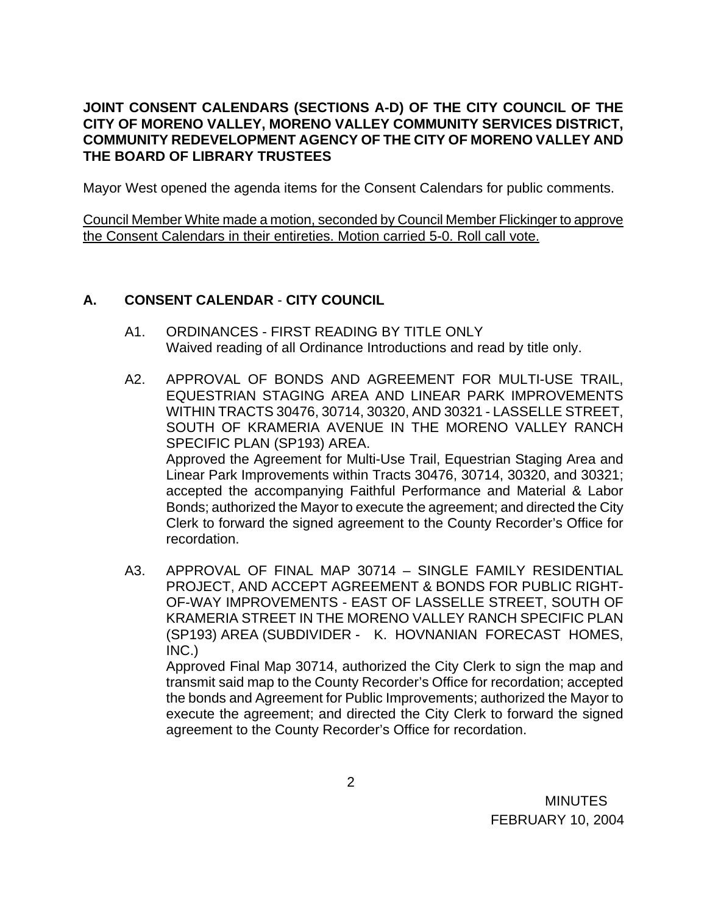### **JOINT CONSENT CALENDARS (SECTIONS A-D) OF THE CITY COUNCIL OF THE CITY OF MORENO VALLEY, MORENO VALLEY COMMUNITY SERVICES DISTRICT, COMMUNITY REDEVELOPMENT AGENCY OF THE CITY OF MORENO VALLEY AND THE BOARD OF LIBRARY TRUSTEES**

Mayor West opened the agenda items for the Consent Calendars for public comments.

Council Member White made a motion, seconded by Council Member Flickinger to approve the Consent Calendars in their entireties. Motion carried 5-0. Roll call vote.

### **A. CONSENT CALENDAR** - **CITY COUNCIL**

- A1. ORDINANCES FIRST READING BY TITLE ONLY Waived reading of all Ordinance Introductions and read by title only.
- A2. APPROVAL OF BONDS AND AGREEMENT FOR MULTI-USE TRAIL, EQUESTRIAN STAGING AREA AND LINEAR PARK IMPROVEMENTS WITHIN TRACTS 30476, 30714, 30320, AND 30321 - LASSELLE STREET, SOUTH OF KRAMERIA AVENUE IN THE MORENO VALLEY RANCH SPECIFIC PLAN (SP193) AREA. Approved the Agreement for Multi-Use Trail, Equestrian Staging Area and Linear Park Improvements within Tracts 30476, 30714, 30320, and 30321; accepted the accompanying Faithful Performance and Material & Labor Bonds; authorized the Mayor to execute the agreement; and directed the City Clerk to forward the signed agreement to the County Recorder's Office for recordation.
- A3. APPROVAL OF FINAL MAP 30714 SINGLE FAMILY RESIDENTIAL PROJECT, AND ACCEPT AGREEMENT & BONDS FOR PUBLIC RIGHT-OF-WAY IMPROVEMENTS - EAST OF LASSELLE STREET, SOUTH OF KRAMERIA STREET IN THE MORENO VALLEY RANCH SPECIFIC PLAN (SP193) AREA (SUBDIVIDER - K. HOVNANIAN FORECAST HOMES, INC.)

 Approved Final Map 30714, authorized the City Clerk to sign the map and transmit said map to the County Recorder's Office for recordation; accepted the bonds and Agreement for Public Improvements; authorized the Mayor to execute the agreement; and directed the City Clerk to forward the signed agreement to the County Recorder's Office for recordation.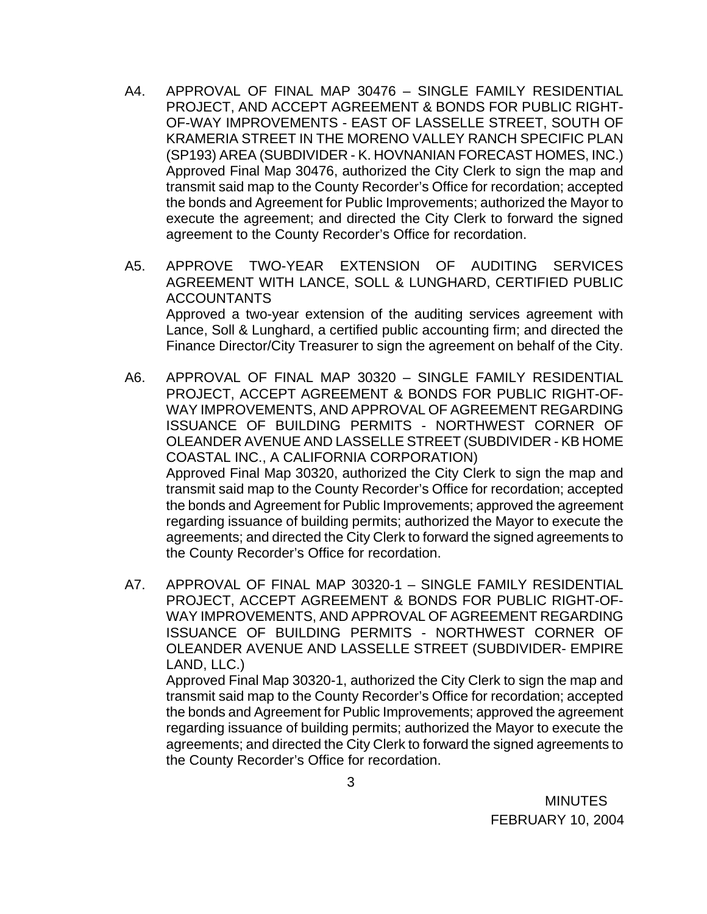- A4. APPROVAL OF FINAL MAP 30476 SINGLE FAMILY RESIDENTIAL PROJECT, AND ACCEPT AGREEMENT & BONDS FOR PUBLIC RIGHT-OF-WAY IMPROVEMENTS - EAST OF LASSELLE STREET, SOUTH OF KRAMERIA STREET IN THE MORENO VALLEY RANCH SPECIFIC PLAN (SP193) AREA (SUBDIVIDER - K. HOVNANIAN FORECAST HOMES, INC.) Approved Final Map 30476, authorized the City Clerk to sign the map and transmit said map to the County Recorder's Office for recordation; accepted the bonds and Agreement for Public Improvements; authorized the Mayor to execute the agreement; and directed the City Clerk to forward the signed agreement to the County Recorder's Office for recordation.
- A5. APPROVE TWO-YEAR EXTENSION OF AUDITING SERVICES AGREEMENT WITH LANCE, SOLL & LUNGHARD, CERTIFIED PUBLIC ACCOUNTANTS Approved a two-year extension of the auditing services agreement with Lance, Soll & Lunghard, a certified public accounting firm; and directed the Finance Director/City Treasurer to sign the agreement on behalf of the City.
- A6. APPROVAL OF FINAL MAP 30320 SINGLE FAMILY RESIDENTIAL PROJECT, ACCEPT AGREEMENT & BONDS FOR PUBLIC RIGHT-OF-WAY IMPROVEMENTS, AND APPROVAL OF AGREEMENT REGARDING ISSUANCE OF BUILDING PERMITS - NORTHWEST CORNER OF OLEANDER AVENUE AND LASSELLE STREET (SUBDIVIDER - KB HOME COASTAL INC., A CALIFORNIA CORPORATION) Approved Final Map 30320, authorized the City Clerk to sign the map and transmit said map to the County Recorder's Office for recordation; accepted the bonds and Agreement for Public Improvements; approved the agreement regarding issuance of building permits; authorized the Mayor to execute the agreements; and directed the City Clerk to forward the signed agreements to the County Recorder's Office for recordation.
- A7. APPROVAL OF FINAL MAP 30320-1 SINGLE FAMILY RESIDENTIAL PROJECT, ACCEPT AGREEMENT & BONDS FOR PUBLIC RIGHT-OF-WAY IMPROVEMENTS, AND APPROVAL OF AGREEMENT REGARDING ISSUANCE OF BUILDING PERMITS - NORTHWEST CORNER OF OLEANDER AVENUE AND LASSELLE STREET (SUBDIVIDER- EMPIRE LAND, LLC.)

 Approved Final Map 30320-1, authorized the City Clerk to sign the map and transmit said map to the County Recorder's Office for recordation; accepted the bonds and Agreement for Public Improvements; approved the agreement regarding issuance of building permits; authorized the Mayor to execute the agreements; and directed the City Clerk to forward the signed agreements to the County Recorder's Office for recordation.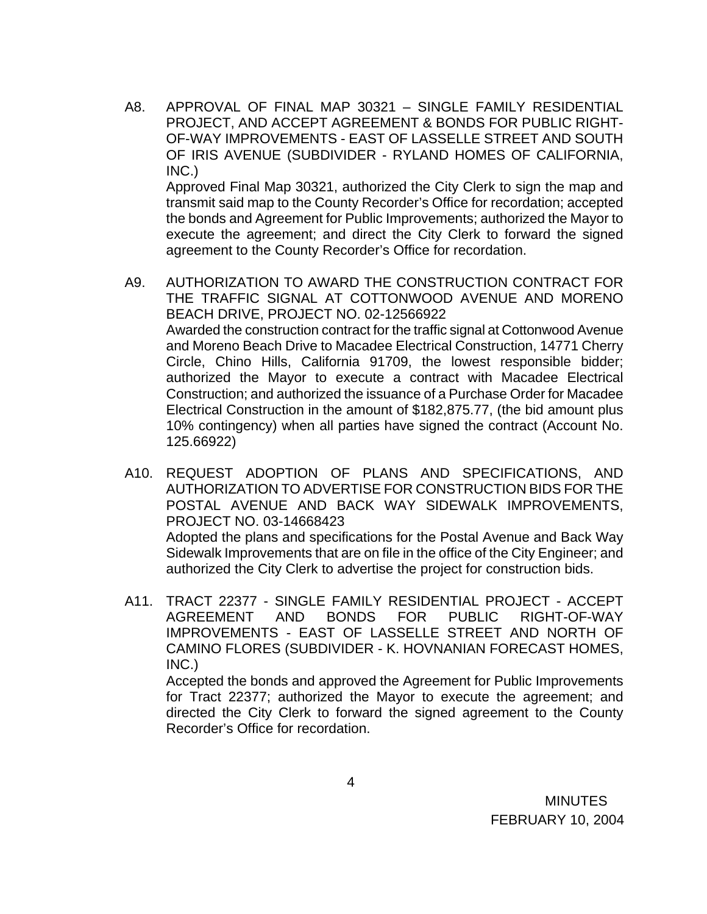A8. APPROVAL OF FINAL MAP 30321 – SINGLE FAMILY RESIDENTIAL PROJECT, AND ACCEPT AGREEMENT & BONDS FOR PUBLIC RIGHT-OF-WAY IMPROVEMENTS - EAST OF LASSELLE STREET AND SOUTH OF IRIS AVENUE (SUBDIVIDER - RYLAND HOMES OF CALIFORNIA, INC.)

 Approved Final Map 30321, authorized the City Clerk to sign the map and transmit said map to the County Recorder's Office for recordation; accepted the bonds and Agreement for Public Improvements; authorized the Mayor to execute the agreement; and direct the City Clerk to forward the signed agreement to the County Recorder's Office for recordation.

- A9. AUTHORIZATION TO AWARD THE CONSTRUCTION CONTRACT FOR THE TRAFFIC SIGNAL AT COTTONWOOD AVENUE AND MORENO BEACH DRIVE, PROJECT NO. 02-12566922 Awarded the construction contract for the traffic signal at Cottonwood Avenue and Moreno Beach Drive to Macadee Electrical Construction, 14771 Cherry Circle, Chino Hills, California 91709, the lowest responsible bidder; authorized the Mayor to execute a contract with Macadee Electrical Construction; and authorized the issuance of a Purchase Order for Macadee Electrical Construction in the amount of \$182,875.77, (the bid amount plus 10% contingency) when all parties have signed the contract (Account No. 125.66922)
- A10. REQUEST ADOPTION OF PLANS AND SPECIFICATIONS, AND AUTHORIZATION TO ADVERTISE FOR CONSTRUCTION BIDS FOR THE POSTAL AVENUE AND BACK WAY SIDEWALK IMPROVEMENTS, PROJECT NO. 03-14668423

Adopted the plans and specifications for the Postal Avenue and Back Way Sidewalk Improvements that are on file in the office of the City Engineer; and authorized the City Clerk to advertise the project for construction bids.

A11. TRACT 22377 - SINGLE FAMILY RESIDENTIAL PROJECT - ACCEPT AGREEMENT AND BONDS FOR PUBLIC RIGHT-OF-WAY IMPROVEMENTS - EAST OF LASSELLE STREET AND NORTH OF CAMINO FLORES (SUBDIVIDER - K. HOVNANIAN FORECAST HOMES, INC.)

Accepted the bonds and approved the Agreement for Public Improvements for Tract 22377; authorized the Mayor to execute the agreement; and directed the City Clerk to forward the signed agreement to the County Recorder's Office for recordation.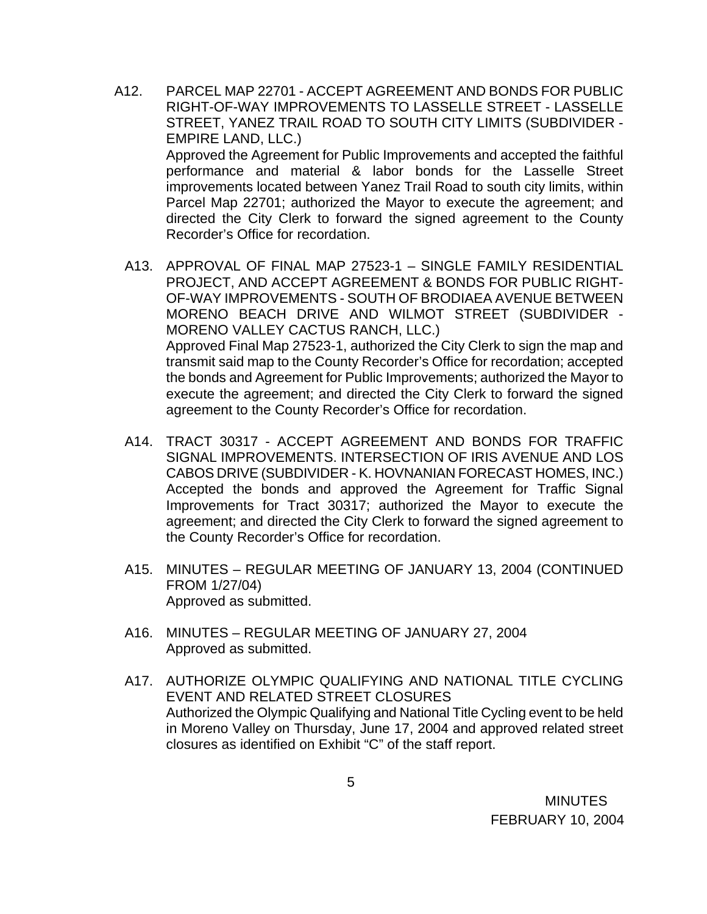- A12. PARCEL MAP 22701 ACCEPT AGREEMENT AND BONDS FOR PUBLIC RIGHT-OF-WAY IMPROVEMENTS TO LASSELLE STREET - LASSELLE STREET, YANEZ TRAIL ROAD TO SOUTH CITY LIMITS (SUBDIVIDER - EMPIRE LAND, LLC.) Approved the Agreement for Public Improvements and accepted the faithful performance and material & labor bonds for the Lasselle Street improvements located between Yanez Trail Road to south city limits, within Parcel Map 22701; authorized the Mayor to execute the agreement; and directed the City Clerk to forward the signed agreement to the County Recorder's Office for recordation.
	- A13. APPROVAL OF FINAL MAP 27523-1 SINGLE FAMILY RESIDENTIAL PROJECT, AND ACCEPT AGREEMENT & BONDS FOR PUBLIC RIGHT-OF-WAY IMPROVEMENTS - SOUTH OF BRODIAEA AVENUE BETWEEN MORENO BEACH DRIVE AND WILMOT STREET (SUBDIVIDER - MORENO VALLEY CACTUS RANCH, LLC.) Approved Final Map 27523-1, authorized the City Clerk to sign the map and transmit said map to the County Recorder's Office for recordation; accepted the bonds and Agreement for Public Improvements; authorized the Mayor to execute the agreement; and directed the City Clerk to forward the signed agreement to the County Recorder's Office for recordation.
	- A14. TRACT 30317 ACCEPT AGREEMENT AND BONDS FOR TRAFFIC SIGNAL IMPROVEMENTS. INTERSECTION OF IRIS AVENUE AND LOS CABOS DRIVE (SUBDIVIDER - K. HOVNANIAN FORECAST HOMES, INC.) Accepted the bonds and approved the Agreement for Traffic Signal Improvements for Tract 30317; authorized the Mayor to execute the agreement; and directed the City Clerk to forward the signed agreement to the County Recorder's Office for recordation.
	- A15. MINUTES REGULAR MEETING OF JANUARY 13, 2004 (CONTINUED FROM 1/27/04) Approved as submitted.
	- A16. MINUTES REGULAR MEETING OF JANUARY 27, 2004 Approved as submitted.
	- A17. AUTHORIZE OLYMPIC QUALIFYING AND NATIONAL TITLE CYCLING EVENT AND RELATED STREET CLOSURES Authorized the Olympic Qualifying and National Title Cycling event to be held in Moreno Valley on Thursday, June 17, 2004 and approved related street closures as identified on Exhibit "C" of the staff report.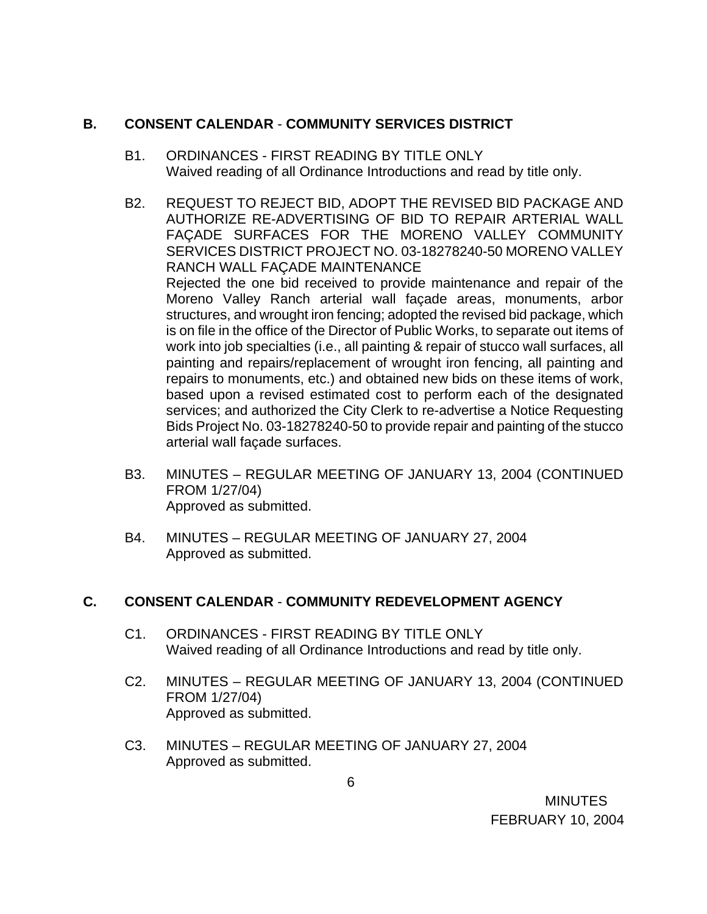# **B. CONSENT CALENDAR** - **COMMUNITY SERVICES DISTRICT**

- B1. ORDINANCES FIRST READING BY TITLE ONLY Waived reading of all Ordinance Introductions and read by title only.
- B2. REQUEST TO REJECT BID, ADOPT THE REVISED BID PACKAGE AND AUTHORIZE RE-ADVERTISING OF BID TO REPAIR ARTERIAL WALL FAÇADE SURFACES FOR THE MORENO VALLEY COMMUNITY SERVICES DISTRICT PROJECT NO. 03-18278240-50 MORENO VALLEY RANCH WALL FAÇADE MAINTENANCE Rejected the one bid received to provide maintenance and repair of the Moreno Valley Ranch arterial wall façade areas, monuments, arbor structures, and wrought iron fencing; adopted the revised bid package, which is on file in the office of the Director of Public Works, to separate out items of work into job specialties (i.e., all painting & repair of stucco wall surfaces, all painting and repairs/replacement of wrought iron fencing, all painting and repairs to monuments, etc.) and obtained new bids on these items of work, based upon a revised estimated cost to perform each of the designated services; and authorized the City Clerk to re-advertise a Notice Requesting Bids Project No. 03-18278240-50 to provide repair and painting of the stucco arterial wall façade surfaces.
- B3. MINUTES REGULAR MEETING OF JANUARY 13, 2004 (CONTINUED FROM 1/27/04) Approved as submitted.
- B4. MINUTES REGULAR MEETING OF JANUARY 27, 2004 Approved as submitted.

# **C. CONSENT CALENDAR** - **COMMUNITY REDEVELOPMENT AGENCY**

- C1. ORDINANCES FIRST READING BY TITLE ONLY Waived reading of all Ordinance Introductions and read by title only.
- C2. MINUTES REGULAR MEETING OF JANUARY 13, 2004 (CONTINUED FROM 1/27/04) Approved as submitted.
- C3. MINUTES REGULAR MEETING OF JANUARY 27, 2004 Approved as submitted.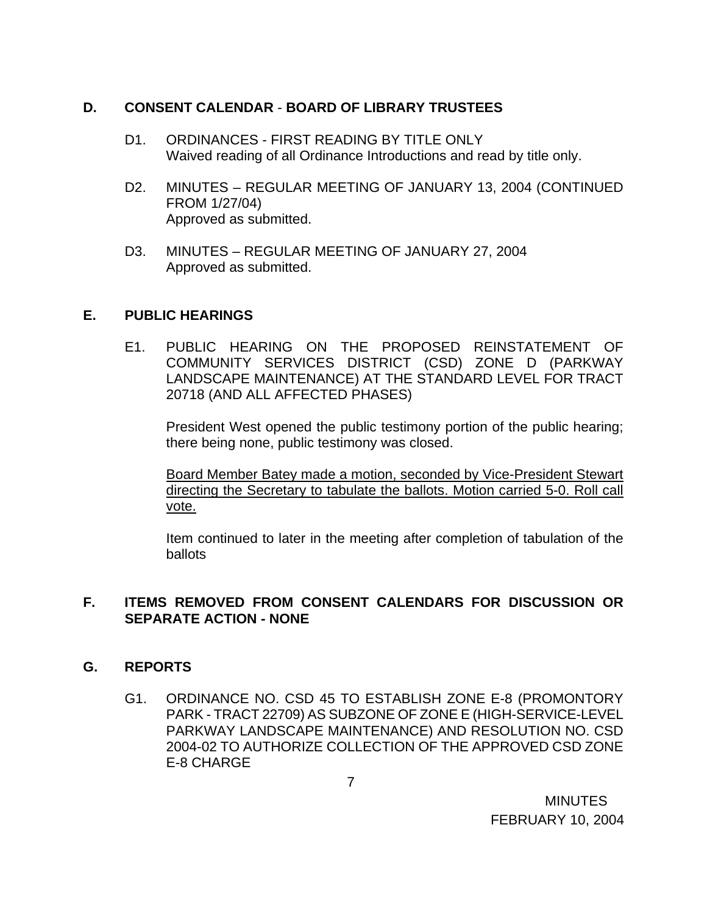## **D. CONSENT CALENDAR** - **BOARD OF LIBRARY TRUSTEES**

- D1. ORDINANCES FIRST READING BY TITLE ONLY Waived reading of all Ordinance Introductions and read by title only.
- D2. MINUTES REGULAR MEETING OF JANUARY 13, 2004 (CONTINUED FROM 1/27/04) Approved as submitted.
- D3. MINUTES REGULAR MEETING OF JANUARY 27, 2004 Approved as submitted.

#### **E. PUBLIC HEARINGS**

E1. PUBLIC HEARING ON THE PROPOSED REINSTATEMENT OF COMMUNITY SERVICES DISTRICT (CSD) ZONE D (PARKWAY LANDSCAPE MAINTENANCE) AT THE STANDARD LEVEL FOR TRACT 20718 (AND ALL AFFECTED PHASES)

President West opened the public testimony portion of the public hearing; there being none, public testimony was closed.

Board Member Batey made a motion, seconded by Vice-President Stewart directing the Secretary to tabulate the ballots. Motion carried 5-0. Roll call vote.

 Item continued to later in the meeting after completion of tabulation of the ballots

### **F. ITEMS REMOVED FROM CONSENT CALENDARS FOR DISCUSSION OR SEPARATE ACTION - NONE**

# **G. REPORTS**

G1. ORDINANCE NO. CSD 45 TO ESTABLISH ZONE E-8 (PROMONTORY PARK - TRACT 22709) AS SUBZONE OF ZONE E (HIGH-SERVICE-LEVEL PARKWAY LANDSCAPE MAINTENANCE) AND RESOLUTION NO. CSD 2004-02 TO AUTHORIZE COLLECTION OF THE APPROVED CSD ZONE E-8 CHARGE

**MINUTES** FEBRUARY 10, 2004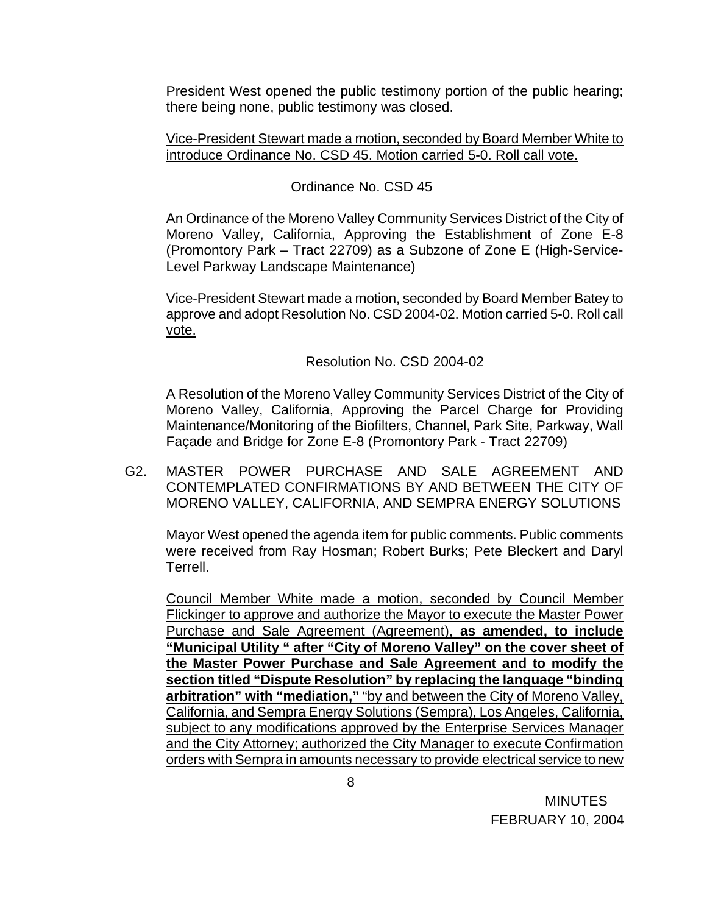President West opened the public testimony portion of the public hearing; there being none, public testimony was closed.

#### Vice-President Stewart made a motion, seconded by Board Member White to introduce Ordinance No. CSD 45. Motion carried 5-0. Roll call vote.

## Ordinance No. CSD 45

An Ordinance of the Moreno Valley Community Services District of the City of Moreno Valley, California, Approving the Establishment of Zone E-8 (Promontory Park – Tract 22709) as a Subzone of Zone E (High-Service-Level Parkway Landscape Maintenance)

Vice-President Stewart made a motion, seconded by Board Member Batey to approve and adopt Resolution No. CSD 2004-02. Motion carried 5-0. Roll call vote.

Resolution No. CSD 2004-02

A Resolution of the Moreno Valley Community Services District of the City of Moreno Valley, California, Approving the Parcel Charge for Providing Maintenance/Monitoring of the Biofilters, Channel, Park Site, Parkway, Wall Façade and Bridge for Zone E-8 (Promontory Park - Tract 22709)

G2. MASTER POWER PURCHASE AND SALE AGREEMENT AND CONTEMPLATED CONFIRMATIONS BY AND BETWEEN THE CITY OF MORENO VALLEY, CALIFORNIA, AND SEMPRA ENERGY SOLUTIONS

Mayor West opened the agenda item for public comments. Public comments were received from Ray Hosman; Robert Burks; Pete Bleckert and Daryl Terrell.

 Council Member White made a motion, seconded by Council Member Flickinger to approve and authorize the Mayor to execute the Master Power Purchase and Sale Agreement (Agreement), **as amended, to include "Municipal Utility " after "City of Moreno Valley" on the cover sheet of the Master Power Purchase and Sale Agreement and to modify the section titled "Dispute Resolution" by replacing the language "binding arbitration" with "mediation,"** "by and between the City of Moreno Valley, California, and Sempra Energy Solutions (Sempra), Los Angeles, California, subject to any modifications approved by the Enterprise Services Manager and the City Attorney; authorized the City Manager to execute Confirmation orders with Sempra in amounts necessary to provide electrical service to new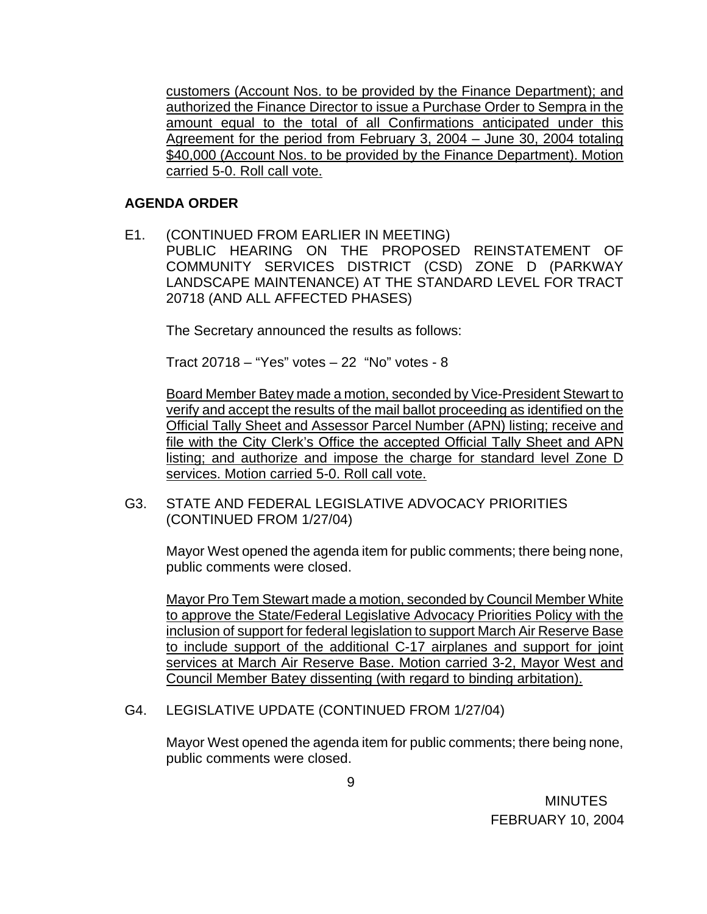customers (Account Nos. to be provided by the Finance Department); and authorized the Finance Director to issue a Purchase Order to Sempra in the amount equal to the total of all Confirmations anticipated under this Agreement for the period from February 3, 2004 – June 30, 2004 totaling \$40,000 (Account Nos. to be provided by the Finance Department). Motion carried 5-0. Roll call vote.

### **AGENDA ORDER**

E1. (CONTINUED FROM EARLIER IN MEETING) PUBLIC HEARING ON THE PROPOSED REINSTATEMENT OF COMMUNITY SERVICES DISTRICT (CSD) ZONE D (PARKWAY LANDSCAPE MAINTENANCE) AT THE STANDARD LEVEL FOR TRACT 20718 (AND ALL AFFECTED PHASES)

The Secretary announced the results as follows:

Tract 20718 – "Yes" votes – 22 "No" votes - 8

Board Member Batey made a motion, seconded by Vice-President Stewart to verify and accept the results of the mail ballot proceeding as identified on the Official Tally Sheet and Assessor Parcel Number (APN) listing; receive and file with the City Clerk's Office the accepted Official Tally Sheet and APN listing; and authorize and impose the charge for standard level Zone D services. Motion carried 5-0. Roll call vote.

G3. STATE AND FEDERAL LEGISLATIVE ADVOCACY PRIORITIES (CONTINUED FROM 1/27/04)

 Mayor West opened the agenda item for public comments; there being none, public comments were closed.

Mayor Pro Tem Stewart made a motion, seconded by Council Member White to approve the State/Federal Legislative Advocacy Priorities Policy with the inclusion of support for federal legislation to support March Air Reserve Base to include support of the additional C-17 airplanes and support for joint services at March Air Reserve Base. Motion carried 3-2, Mayor West and Council Member Batey dissenting (with regard to binding arbitation).

# G4. LEGISLATIVE UPDATE (CONTINUED FROM 1/27/04)

 Mayor West opened the agenda item for public comments; there being none, public comments were closed.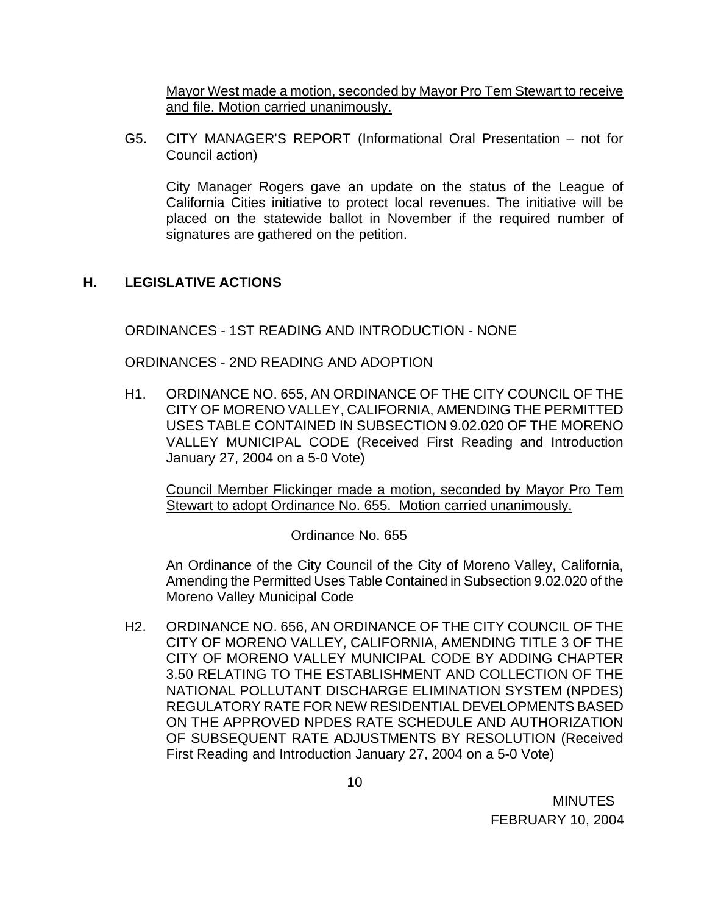Mayor West made a motion, seconded by Mayor Pro Tem Stewart to receive and file. Motion carried unanimously.

G5. CITY MANAGER'S REPORT (Informational Oral Presentation – not for Council action)

City Manager Rogers gave an update on the status of the League of California Cities initiative to protect local revenues. The initiative will be placed on the statewide ballot in November if the required number of signatures are gathered on the petition.

# **H. LEGISLATIVE ACTIONS**

ORDINANCES - 1ST READING AND INTRODUCTION - NONE

ORDINANCES - 2ND READING AND ADOPTION

 H1. ORDINANCE NO. 655, AN ORDINANCE OF THE CITY COUNCIL OF THE CITY OF MORENO VALLEY, CALIFORNIA, AMENDING THE PERMITTED USES TABLE CONTAINED IN SUBSECTION 9.02.020 OF THE MORENO VALLEY MUNICIPAL CODE (Received First Reading and Introduction January 27, 2004 on a 5-0 Vote)

 Council Member Flickinger made a motion, seconded by Mayor Pro Tem Stewart to adopt Ordinance No. 655. Motion carried unanimously.

Ordinance No. 655

An Ordinance of the City Council of the City of Moreno Valley, California, Amending the Permitted Uses Table Contained in Subsection 9.02.020 of the Moreno Valley Municipal Code

H2. ORDINANCE NO. 656, AN ORDINANCE OF THE CITY COUNCIL OF THE CITY OF MORENO VALLEY, CALIFORNIA, AMENDING TITLE 3 OF THE CITY OF MORENO VALLEY MUNICIPAL CODE BY ADDING CHAPTER 3.50 RELATING TO THE ESTABLISHMENT AND COLLECTION OF THE NATIONAL POLLUTANT DISCHARGE ELIMINATION SYSTEM (NPDES) REGULATORY RATE FOR NEW RESIDENTIAL DEVELOPMENTS BASED ON THE APPROVED NPDES RATE SCHEDULE AND AUTHORIZATION OF SUBSEQUENT RATE ADJUSTMENTS BY RESOLUTION (Received First Reading and Introduction January 27, 2004 on a 5-0 Vote)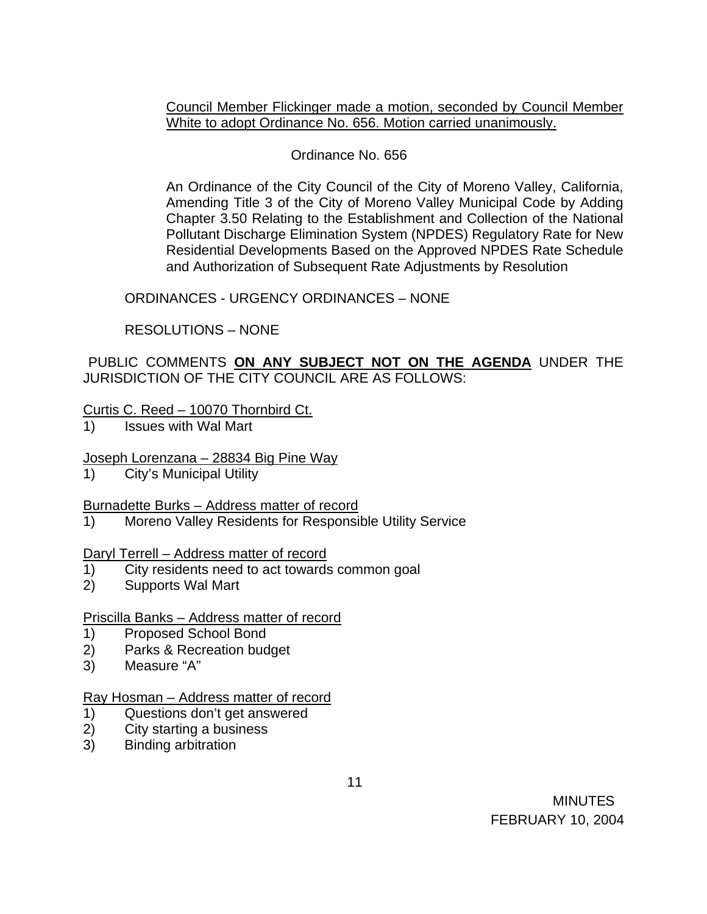Council Member Flickinger made a motion, seconded by Council Member White to adopt Ordinance No. 656. Motion carried unanimously.

# Ordinance No. 656

An Ordinance of the City Council of the City of Moreno Valley, California, Amending Title 3 of the City of Moreno Valley Municipal Code by Adding Chapter 3.50 Relating to the Establishment and Collection of the National Pollutant Discharge Elimination System (NPDES) Regulatory Rate for New Residential Developments Based on the Approved NPDES Rate Schedule and Authorization of Subsequent Rate Adjustments by Resolution

ORDINANCES - URGENCY ORDINANCES – NONE

RESOLUTIONS – NONE

PUBLIC COMMENTS **ON ANY SUBJECT NOT ON THE AGENDA** UNDER THE JURISDICTION OF THE CITY COUNCIL ARE AS FOLLOWS:

# Curtis C. Reed – 10070 Thornbird Ct.

1) Issues with Wal Mart

# Joseph Lorenzana – 28834 Big Pine Way

1) City's Municipal Utility

# Burnadette Burks – Address matter of record

1) Moreno Valley Residents for Responsible Utility Service

# Daryl Terrell – Address matter of record

- 1) City residents need to act towards common goal
- 2) Supports Wal Mart

# Priscilla Banks – Address matter of record

- 1) Proposed School Bond
- 2) Parks & Recreation budget
- 3) Measure "A"

# Ray Hosman – Address matter of record

- 1) Questions don't get answered
- 2) City starting a business
- 3) Binding arbitration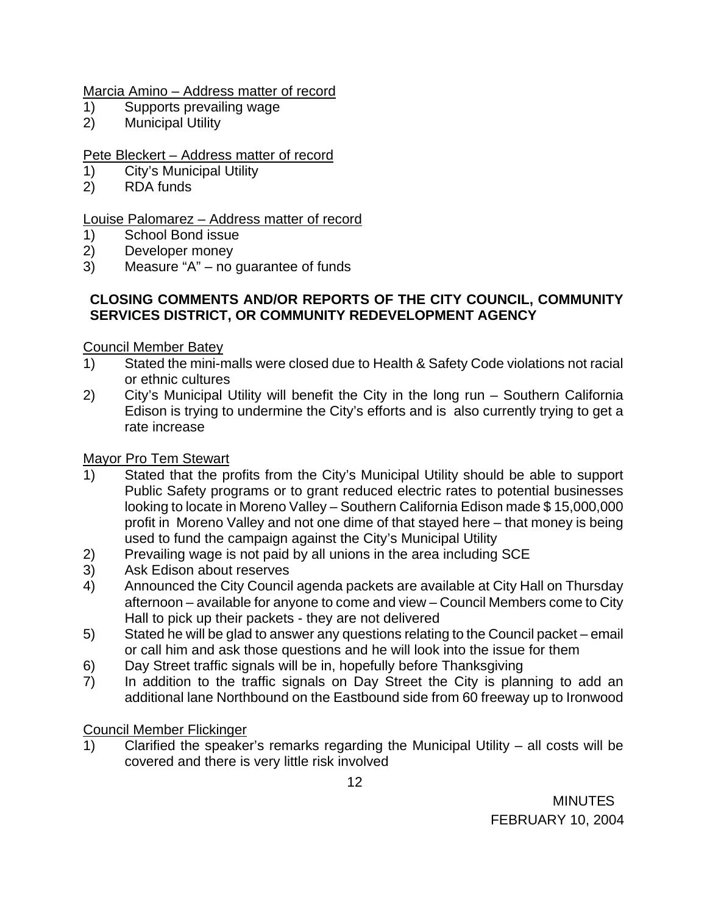## Marcia Amino – Address matter of record

- 1) Supports prevailing wage
- 2) Municipal Utility

# Pete Bleckert - Address matter of record

- 1) City's Municipal Utility
- 2) RDA funds

# Louise Palomarez – Address matter of record

- 1) School Bond issue
- 2) Developer money
- 3) Measure "A" no guarantee of funds

## **CLOSING COMMENTS AND/OR REPORTS OF THE CITY COUNCIL, COMMUNITY SERVICES DISTRICT, OR COMMUNITY REDEVELOPMENT AGENCY**

### Council Member Batey

- 1) Stated the mini-malls were closed due to Health & Safety Code violations not racial or ethnic cultures
- 2) City's Municipal Utility will benefit the City in the long run Southern California Edison is trying to undermine the City's efforts and is also currently trying to get a rate increase

### Mayor Pro Tem Stewart

- 1) Stated that the profits from the City's Municipal Utility should be able to support Public Safety programs or to grant reduced electric rates to potential businesses looking to locate in Moreno Valley – Southern California Edison made \$ 15,000,000 profit in Moreno Valley and not one dime of that stayed here – that money is being used to fund the campaign against the City's Municipal Utility
- 2) Prevailing wage is not paid by all unions in the area including SCE
- 3) Ask Edison about reserves
- 4) Announced the City Council agenda packets are available at City Hall on Thursday afternoon – available for anyone to come and view – Council Members come to City Hall to pick up their packets - they are not delivered
- 5) Stated he will be glad to answer any questions relating to the Council packet email or call him and ask those questions and he will look into the issue for them
- 6) Day Street traffic signals will be in, hopefully before Thanksgiving
- 7) In addition to the traffic signals on Day Street the City is planning to add an additional lane Northbound on the Eastbound side from 60 freeway up to Ironwood

# Council Member Flickinger

 $1)$  Clarified the speaker's remarks regarding the Municipal Utility – all costs will be covered and there is very little risk involved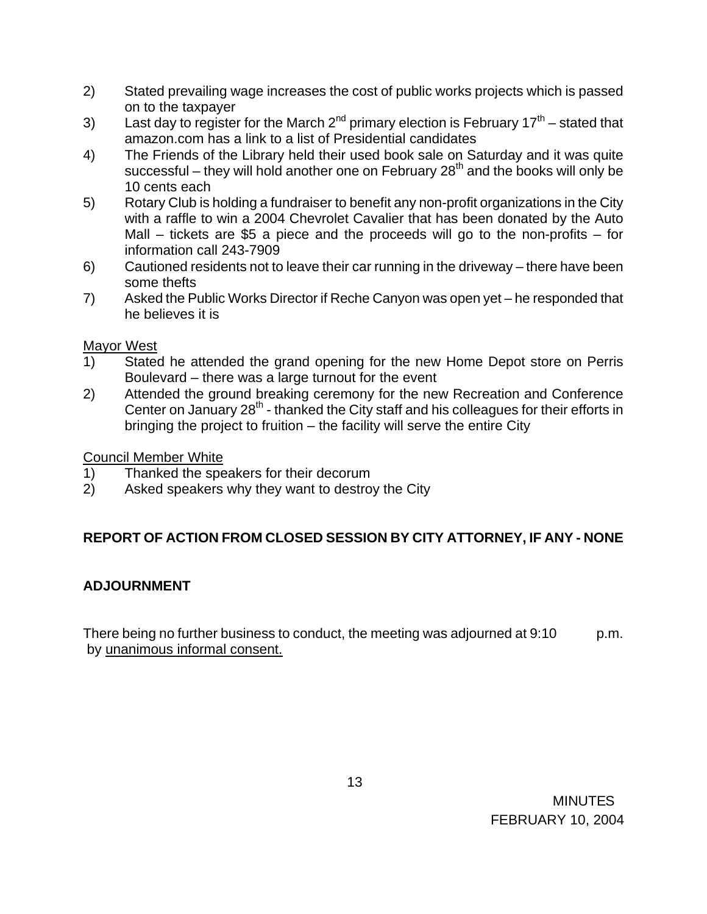- 2) Stated prevailing wage increases the cost of public works projects which is passed on to the taxpayer
- 3) Last day to register for the March  $2^{nd}$  primary election is February 17<sup>th</sup> stated that amazon.com has a link to a list of Presidential candidates
- 4) The Friends of the Library held their used book sale on Saturday and it was quite successful – they will hold another one on February  $28<sup>th</sup>$  and the books will only be 10 cents each
- 5) Rotary Club is holding a fundraiser to benefit any non-profit organizations in the City with a raffle to win a 2004 Chevrolet Cavalier that has been donated by the Auto Mall  $-$  tickets are \$5 a piece and the proceeds will go to the non-profits  $-$  for information call 243-7909
- 6) Cautioned residents not to leave their car running in the driveway there have been some thefts
- 7) Asked the Public Works Director if Reche Canyon was open yet he responded that he believes it is

# Mayor West

- 1) Stated he attended the grand opening for the new Home Depot store on Perris Boulevard – there was a large turnout for the event
- 2) Attended the ground breaking ceremony for the new Recreation and Conference Center on January 28<sup>th</sup> - thanked the City staff and his colleagues for their efforts in bringing the project to fruition – the facility will serve the entire City

# Council Member White

- 1) Thanked the speakers for their decorum
- 2) Asked speakers why they want to destroy the City

# **REPORT OF ACTION FROM CLOSED SESSION BY CITY ATTORNEY, IF ANY - NONE**

# **ADJOURNMENT**

There being no further business to conduct, the meeting was adjourned at 9:10 p.m. by unanimous informal consent.